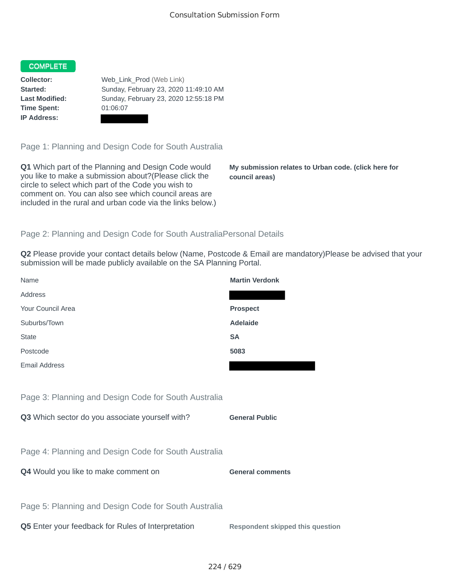## COMPLETE

**Time Spent:** 01:06:07 **IP Address:**

**Collector:** Web\_Link\_Prod (Web Link) **Started:** Sunday, February 23, 2020 11:49:10 AM **Last Modified:** Sunday, February 23, 2020 12:55:18 PM

Page 1: Planning and Design Code for South Australia

**Q1** Which part of the Planning and Design Code would you like to make a submission about?(Please click the circle to select which part of the Code you wish to comment on. You can also see which council areas are included in the rural and urban code via the links below.)

**My submission relates to Urban code. (click here for council areas)**

## Page 2: Planning and Design Code for South AustraliaPersonal Details

**Q2** Please provide your contact details below (Name, Postcode & Email are mandatory)Please be advised that your submission will be made publicly available on the SA Planning Portal.

| Name                                                 | <b>Martin Verdonk</b>                   |
|------------------------------------------------------|-----------------------------------------|
| Address                                              |                                         |
| Your Council Area                                    | <b>Prospect</b>                         |
| Suburbs/Town                                         | <b>Adelaide</b>                         |
| <b>State</b>                                         | <b>SA</b>                               |
| Postcode                                             | 5083                                    |
| <b>Email Address</b>                                 |                                         |
|                                                      |                                         |
| Page 3: Planning and Design Code for South Australia |                                         |
| Q3 Which sector do you associate yourself with?      | <b>General Public</b>                   |
|                                                      |                                         |
| Page 4: Planning and Design Code for South Australia |                                         |
| Q4 Would you like to make comment on                 | <b>General comments</b>                 |
|                                                      |                                         |
| Page 5: Planning and Design Code for South Australia |                                         |
| Q5 Enter your feedback for Rules of Interpretation   | <b>Respondent skipped this question</b> |
|                                                      |                                         |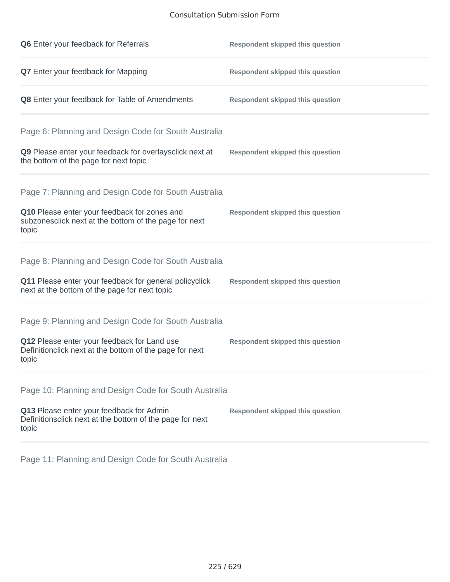## Consultation Submission Form

| Q6 Enter your feedback for Referrals                                                                            | <b>Respondent skipped this question</b> |
|-----------------------------------------------------------------------------------------------------------------|-----------------------------------------|
| Q7 Enter your feedback for Mapping                                                                              | <b>Respondent skipped this question</b> |
| Q8 Enter your feedback for Table of Amendments                                                                  | <b>Respondent skipped this question</b> |
| Page 6: Planning and Design Code for South Australia                                                            |                                         |
| Q9 Please enter your feedback for overlaysclick next at<br>the bottom of the page for next topic                | <b>Respondent skipped this question</b> |
| Page 7: Planning and Design Code for South Australia                                                            |                                         |
| Q10 Please enter your feedback for zones and<br>subzonesclick next at the bottom of the page for next<br>topic  | <b>Respondent skipped this question</b> |
| Page 8: Planning and Design Code for South Australia                                                            |                                         |
| Q11 Please enter your feedback for general policyclick<br>next at the bottom of the page for next topic         | <b>Respondent skipped this question</b> |
| Page 9: Planning and Design Code for South Australia                                                            |                                         |
| Q12 Please enter your feedback for Land use<br>Definitionclick next at the bottom of the page for next<br>topic | <b>Respondent skipped this question</b> |
| Page 10: Planning and Design Code for South Australia                                                           |                                         |
| Q13 Please enter your feedback for Admin<br>Definitionsclick next at the bottom of the page for next<br>topic   | <b>Respondent skipped this question</b> |

Page 11: Planning and Design Code for South Australia